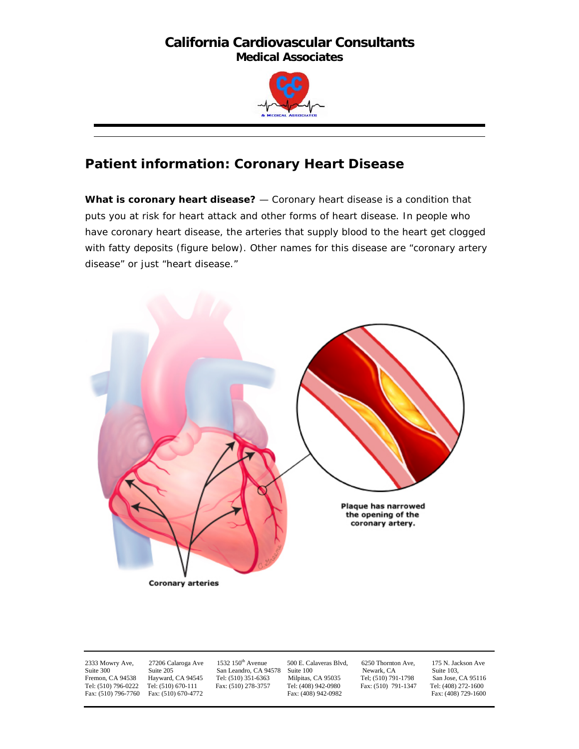

# **Patient information: Coronary Heart Disease**

**What is coronary heart disease?** — Coronary heart disease is a condition that puts you at risk for heart attack and other forms of heart disease. In people who have coronary heart disease, the arteries that supply blood to the heart get clogged with fatty deposits (figure below). Other names for this disease are "coronary artery disease" or just "heart disease."



Fax: (510) 796-7760 Fax: (510) 670-4772

San Leandro, CA 94578 Suite 100

2333 Mowry Ave, 27206 Calaroga Ave 1532 150<sup>th</sup> Avenue 500 E. Calaveras Blvd, 6250 Thornton Ave, 175 N. Jackson Ave<br>
Suite 205 San Leandro, CA 94578 Suite 100 Newark, CA Suite 103, Fremon, CA 94538 Hayward, CA 94545 Tel: (510) 351-6363 Milpitas, CA 95035 Tel; (510) 791-1798 San Jose, CA 95116 Tel: (510) 796-0222 Tel: (510) 670-111 Fax: (510) 278-3757 Tel: (408) 942-0980 Fax: (510) 791-1347 Tel: (408) 272-1600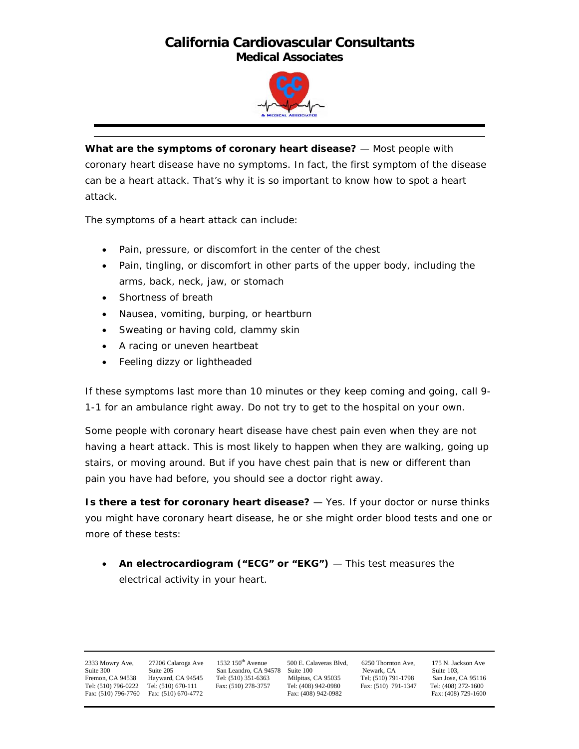

**What are the symptoms of coronary heart disease?** — Most people with coronary heart disease have no symptoms. In fact, the first symptom of the disease can be a heart attack. That's why it is so important to know how to spot a heart attack.

The symptoms of a heart attack can include:

- Pain, pressure, or discomfort in the center of the chest
- Pain, tingling, or discomfort in other parts of the upper body, including the arms, back, neck, jaw, or stomach
- Shortness of breath
- Nausea, vomiting, burping, or heartburn
- Sweating or having cold, clammy skin
- A racing or uneven heartbeat
- Feeling dizzy or lightheaded

If these symptoms last more than 10 minutes or they keep coming and going, call 9- 1-1 for an ambulance right away. Do not try to get to the hospital on your own.

Some people with coronary heart disease have chest pain even when they are not having a heart attack. This is most likely to happen when they are walking, going up stairs, or moving around. But if you have chest pain that is new or different than pain you have had before, you should see a doctor right away.

**Is there a test for coronary heart disease?** — Yes. If your doctor or nurse thinks you might have coronary heart disease, he or she might order blood tests and one or more of these tests:

• **An electrocardiogram ("ECG" or "EKG")** — This test measures the electrical activity in your heart.

Fax: (510) 796-7760 Fax: (510) 670-4772

2333 Mowry Ave, 27206 Calaroga Ave 1532 150<sup>th</sup> Avenue 500 E. Calaveras Blvd, 6250 Thornton Ave, 175 N. Jackson Ave<br>
Suite 300 Suite 205 San Leandro, CA 94578 Suite 100 Newark, CA Suite 103, Suite 300 Suite 200 Suite 205, Suite 205, Suite 205, Suite 205, Suite 205, Suite 205, Suite 205, CA 95116 Suite 103, Suite 103, Suite 103, Suite 103, Suite 103, Suite 103, Suite 103, Suite 103, Suite 103, Suite 103, Suite Fremon, CA 94538 Hayward, CA 94545 Tel: (510) 351-6363 Milpitas, CA 95035 Tel; (510) 791-1798 San Jose, CA 95116 Tel: (510) 796-0222 Tel: (510) 670-111 Fax: (510) 278-3757 Tel: (408) 942-0980 Fax: (510) 791-1347 Tel: (408) 272-1600<br>Fax: (510) 791-1347 Tel: (408) 972-1600 Fax: (510) 791-1347 Tel: (408) 272-1600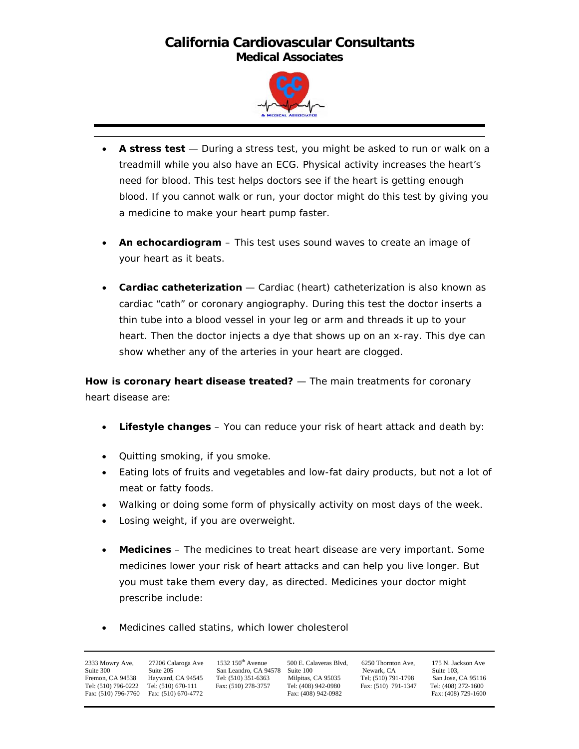

- **A stress test** During a stress test, you might be asked to run or walk on a treadmill while you also have an ECG. Physical activity increases the heart's need for blood. This test helps doctors see if the heart is getting enough blood. If you cannot walk or run, your doctor might do this test by giving you a medicine to make your heart pump faster.
- **An echocardiogram** This test uses sound waves to create an image of your heart as it beats.
- **Cardiac catheterization** Cardiac (heart) catheterization is also known as cardiac "cath" or coronary angiography. During this test the doctor inserts a thin tube into a blood vessel in your leg or arm and threads it up to your heart. Then the doctor injects a dye that shows up on an x-ray. This dye can show whether any of the arteries in your heart are clogged.

**How is coronary heart disease treated?** — The main treatments for coronary heart disease are:

- **Lifestyle changes** You can reduce your risk of heart attack and death by:
- Quitting smoking, if you smoke.
- Eating lots of fruits and vegetables and low-fat dairy products, but not a lot of meat or fatty foods.
- Walking or doing some form of physically activity on most days of the week.
- Losing weight, if you are overweight.
- **Medicines** The medicines to treat heart disease are very important. Some medicines lower your risk of heart attacks and can help you live longer. But you must take them every day, as directed. Medicines your doctor might prescribe include:
- Medicines called statins, which lower cholesterol

| 2333 Mowry Ave,<br>Suite 300<br>Fremon. CA 94538<br>Tel: (510) 796-0222<br>Fax: (510) 796-7760 | 27206 Calaroga Ave<br>Suite 205<br>Hayward, CA 94545<br>Tel: (510) 670-111<br>Fax: (510) 670-4772 | 1532 $150th$ Avenue<br>San Leandro, CA 94578<br>Tel: (510) 351-6363<br>Fax: (510) 278-3757 | 500 E. Calaveras Blvd,<br>Suite 100<br>Milpitas, CA 95035<br>Tel: (408) 942-0980<br>Fax: (408) 942-0982 | 6250 Thornton Ave.<br>Newark, CA<br>Tel: (510) 791-1798<br>Fax: (510) 791-1347 | 175 N. Jackson Ave<br>Suite 103.<br>San Jose, CA 95116<br>Tel: (408) 272-1600<br>Fax: (408) 729-1600 |
|------------------------------------------------------------------------------------------------|---------------------------------------------------------------------------------------------------|--------------------------------------------------------------------------------------------|---------------------------------------------------------------------------------------------------------|--------------------------------------------------------------------------------|------------------------------------------------------------------------------------------------------|
|------------------------------------------------------------------------------------------------|---------------------------------------------------------------------------------------------------|--------------------------------------------------------------------------------------------|---------------------------------------------------------------------------------------------------------|--------------------------------------------------------------------------------|------------------------------------------------------------------------------------------------------|